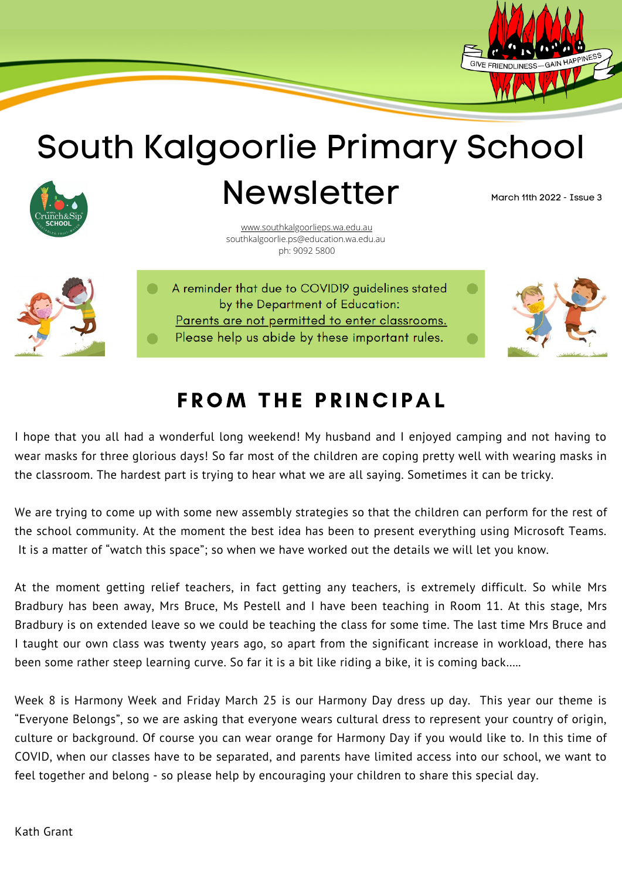

## South Kalgoorlie Primary School



Newsletter

March 11th 2022 - Issue 3

[www.southkalgoorlieps.wa.edu.au](http://www.southkalgoorlieps.wa.edu.au/) southkalgoorlie.ps@education.wa.edu.au ph: 9092 5800



A reminder that due to COVID19 guidelines stated by the Department of Education: Parents are not permitted to enter classrooms. Please help us abide by these important rules.



## **FROM THE PRINCIPAL**

I hope that you all had a wonderful long weekend! My husband and I enjoyed camping and not having to wear masks for three glorious days! So far most of the children are coping pretty well with wearing masks in the classroom. The hardest part is trying to hear what we are all saying. Sometimes it can be tricky.

We are trying to come up with some new assembly strategies so that the children can perform for the rest of the school community. At the moment the best idea has been to present everything using Microsoft Teams. It is a matter of "watch this space"; so when we have worked out the details we will let you know.

At the moment getting relief teachers, in fact getting any teachers, is extremely difficult. So while Mrs Bradbury has been away, Mrs Bruce, Ms Pestell and I have been teaching in Room 11. At this stage, Mrs Bradbury is on extended leave so we could be teaching the class for some time. The last time Mrs Bruce and I taught our own class was twenty years ago, so apart from the significant increase in workload, there has been some rather steep learning curve. So far it is a bit like riding a bike, it is coming back…..

Week 8 is Harmony Week and Friday March 25 is our Harmony Day dress up day. This year our theme is "Everyone Belongs", so we are asking that everyone wears cultural dress to represent your country of origin, culture or background. Of course you can wear orange for Harmony Day if you would like to. In this time of COVID, when our classes have to be separated, and parents have limited access into our school, we want to feel together and belong - so please help by encouraging your children to share this special day.